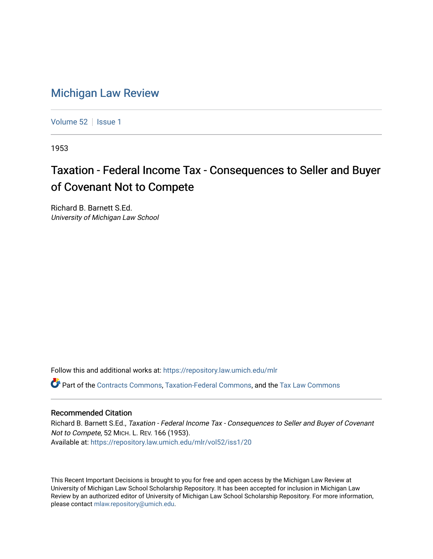## [Michigan Law Review](https://repository.law.umich.edu/mlr)

[Volume 52](https://repository.law.umich.edu/mlr/vol52) | [Issue 1](https://repository.law.umich.edu/mlr/vol52/iss1)

1953

## Taxation - Federal Income Tax - Consequences to Seller and Buyer of Covenant Not to Compete

Richard B. Barnett S.Ed. University of Michigan Law School

Follow this and additional works at: [https://repository.law.umich.edu/mlr](https://repository.law.umich.edu/mlr?utm_source=repository.law.umich.edu%2Fmlr%2Fvol52%2Fiss1%2F20&utm_medium=PDF&utm_campaign=PDFCoverPages) 

 $\bullet$  Part of the [Contracts Commons](http://network.bepress.com/hgg/discipline/591?utm_source=repository.law.umich.edu%2Fmlr%2Fvol52%2Fiss1%2F20&utm_medium=PDF&utm_campaign=PDFCoverPages), [Taxation-Federal Commons,](http://network.bepress.com/hgg/discipline/881?utm_source=repository.law.umich.edu%2Fmlr%2Fvol52%2Fiss1%2F20&utm_medium=PDF&utm_campaign=PDFCoverPages) and the Tax Law Commons

## Recommended Citation

Richard B. Barnett S.Ed., Taxation - Federal Income Tax - Consequences to Seller and Buyer of Covenant Not to Compete, 52 MICH. L. REV. 166 (1953). Available at: [https://repository.law.umich.edu/mlr/vol52/iss1/20](https://repository.law.umich.edu/mlr/vol52/iss1/20?utm_source=repository.law.umich.edu%2Fmlr%2Fvol52%2Fiss1%2F20&utm_medium=PDF&utm_campaign=PDFCoverPages) 

This Recent Important Decisions is brought to you for free and open access by the Michigan Law Review at University of Michigan Law School Scholarship Repository. It has been accepted for inclusion in Michigan Law Review by an authorized editor of University of Michigan Law School Scholarship Repository. For more information, please contact [mlaw.repository@umich.edu.](mailto:mlaw.repository@umich.edu)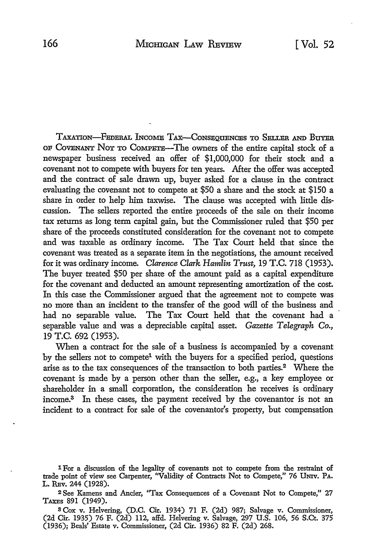TAXATION-FEDERAL lNcoME TAX-CONSEQUENCES TO SELLER AND BUYER OF COVENANT NoT TO COMPETE-The owners of the entire capital stock of a newspaper business received an offer of \$1,000,000 for their stock and a covenant not to compete with buyers for ten years. After the offer was accepted and the contract of sale drawn up, buyer asked for a clause in the contract evaluating the covenant not to compete at \$50 a share and the stock at \$150 a share in order to help him taxwise. The clause was accepted with little discussion. The sellers reported the entire proceeds of the sale on their income tax returns as long term capital gain, but the Commissioner ruled that \$50 per share of the proceeds constituted consideration for the covenant not to compete and was taxable as ordinary income. The Tax Court held that since the covenant was treated as a separate item in the negotiations, the amount received for it was ordinary income. *Clarence Clark Hamlin Trust,* 19 T.C. 718 (1953). The buyer treated \$50 per share of the amount paid as a capital expenditure for the covenant and deducted an amount representing amortization of the cost. In this case the Commissioner argued that the agreement not to compete was no more than an incident to the transfer of the good will of the business and had no separable value. The Tax Court held that the covenant had a separable value and was a depreciable capital asset. *Gazette Telegraph Co.,*  19 T.C. 692 (1953).

When a contract for the sale of a business is accompanied by a covenant by the sellers not to compete<sup>1</sup> with the buyers for a specified period, questions arise as to the tax consequences of the transaction to both parties.2 Where the covenant is made by a person other than the seller, e.g., a key employee or shareholder in a small corporation, the consideration he receives is ordinary income.8 In these cases, the payment received by the covenantor is not an incident to a contract for sale of the covenantor's property, but compensation

- 1 For a discussion of the legality of covenants not to compete from the restraint of trade point of view see Carpenter, "Validity of Contracts Not to Compete," 76 UNIV. PA. L. REv. 244 (1928).
- <sup>2</sup>See Kamens and Ancier, ''Tax Consequences of a Covenant Not to Compete," 27 TAXES 891 (1949).
- s Cox v. Helvering, (D.C. Cir. 1934) 71 F. (2d) 987; Salvage v. Commissioner, (2d Cir. 1935) 76 F. (2d) 112, affd. Helvering v. Salvage, 297 U.S. 106, 56 S.Ct. 375 (1936); Beals' Estate v. Commissioner, (2d Cir. 1936) 82 F. (2d) 268.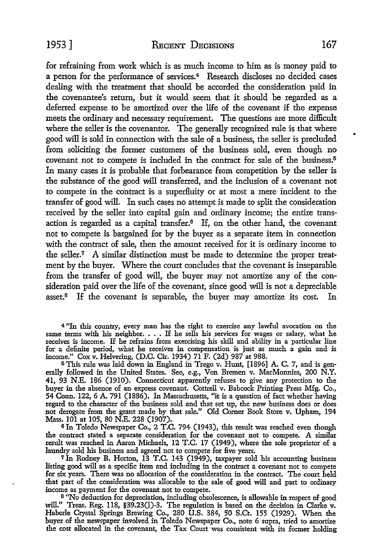for refraining from work which is as much income to him as is money paid to a person for the performance of services.4 Research discloses no decided cases dealing with the treatment that should be accorded the consideration paid in the covenantee's return, but it would seem that it should be regarded as a deferred expense to be amortized over the life of the covenant if the expense meets the ordinary and necessary requirement. The questions are more difficult where the seller is the covenantor. The generally recognized rule is that where good will is sold in connection with the sale of a business, the seller is precluded from soliciting the former customers of the business sold, even though no covenant not to compete is included in the contract for sale of the business.<sup>5</sup> In many cases it is probable that forbearance from competition by the seller is the substance of the good will transferred, and the inclusion of a covenant not to compete in the contract is a superfluity or at most a mere incident to the transfer of good will. In such cases no attempt is made to split the consideration received by the seller into capital gain and ordinary income; the entire transaction is regarded as a capital transfer.6 If, on the other hand, the covenant not to compete is bargained for by the buyer as a separate item in connection with the contract of sale, then the amount received for it is ordinary income to the seller.<sup>7</sup> A similar distinction must be made to determine the proper treatment by the buyer. Where the court concludes that the covenant is inseparable from the transfer of good will, the buyer may not amortize any of the consideration paid over the life of the covenant, since good will is not a depreciable asset.8 If the covenant is separable, the buyer may amortize its cost. In

4 "In this country, every man has the right to exercise any lawful avocation on the same terms with his neighbor.  $\ldots$  If he sells his services for wages or salary, what he receives is income. If he refrains from exercising his skill and ability in a particular line for a definite period, what he receives in compensation is just as much a gain and is income." Cox v. Helvering, (D.C. Cir. 1934) 71 F. (2d) 987 at 988.

5 This rule was laid down in England in Trego v. Hunt, [1896] A. C. 7, and is generally followed in the United States. See, e.g., Von Bremen v. MacMonnies, 200 N.Y. 41, 93 N.E. 186 (1910). Connecticut apparently refuses to give any protection to the buyer in the absence of an express covenant. Cottrell v. Babcock Printing Press Mfg. Co., 54 Conn. 122, 6 A. 791 (1886). In Massachusetts, "it is a question of fact whether having regard to the character of the business sold and that set up, the new business does or does not derogate from the grant made by that sale." Old Comer Book Store v. Upham, 194 Mass. 101 at 105, 80 N.E. 228 (1907).

6 In Toledo Newspaper Co., 2 T.C. 794 (1943), this result was reached even though the contract stated a separate consideration for the covenant not to compete. A similar result was reached in Aaron Michaels, 12 T.C. 17 (1949), where the sole proprietor of a laundry sold his business and agreed not to compete for five years.

7Jn Rodney B. Horton, 13 T.C. 143 (1949), taxpayer sold his accounting business listing good will as a specific item and including in the contract a covenant not to compete for six years. There was no allocation of the consideration in the contract. The court held that part of the consideration was allocable to the sale of good will and part to ordinary income as payment for the covenant not to compete.

<sup>8</sup>"No deduction for depreciation, including obsolescence, is allowable in respect of good will." Treas. Reg. 118, §39.230)-3. The regulation is based on the decision in Clarke v. Haberle Crystal Springs Brewing Co., 280 U.S. 384, 50 S.Ct. 155 (1929). When the buyer of the newspaper involved in Toledo Newspaper Co., note 6 supra, tried to amortize the cost allocated in the covenant, the Tax Court was consistent with its former holding